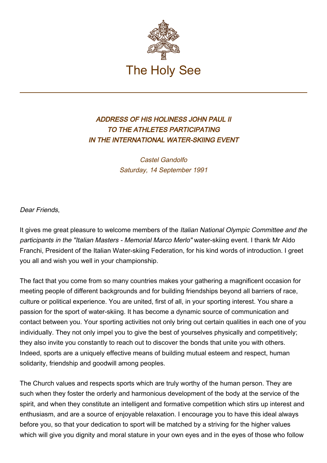

## ADDRESS OF HIS HOLINESS JOHN PAUL II TO THE ATHLETES PARTICIPATING IN THE INTERNATIONAL WATER-SKIING EVENT

Castel Gandolfo Saturday, 14 September 1991

Dear Friends

It gives me great pleasure to welcome members of the Italian National Olympic Committee and the participants in the "Italian Masters - Memorial Marco Merlo" water-skiing event. I thank Mr Aldo Franchi, President of the Italian Water-skiing Federation, for his kind words of introduction. I greet you all and wish you well in your championship.

The fact that you come from so many countries makes your gathering a magnificent occasion for meeting people of different backgrounds and for building friendships beyond all barriers of race, culture or political experience. You are united, first of all, in your sporting interest. You share a passion for the sport of water-skiing. It has become a dynamic source of communication and contact between you. Your sporting activities not only bring out certain qualities in each one of you individually. They not only impel you to give the best of yourselves physically and competitively; they also invite you constantly to reach out to discover the bonds that unite you with others. Indeed, sports are a uniquely effective means of building mutual esteem and respect, human solidarity, friendship and goodwill among peoples.

The Church values and respects sports which are truly worthy of the human person. They are such when they foster the orderly and harmonious development of the body at the service of the spirit, and when they constitute an intelligent and formative competition which stirs up interest and enthusiasm, and are a source of enjoyable relaxation. I encourage you to have this ideal always before you, so that your dedication to sport will be matched by a striving for the higher values which will give you dignity and moral stature in your own eyes and in the eyes of those who follow